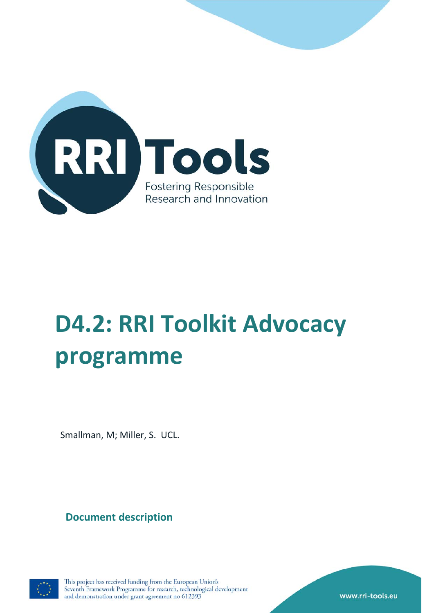

# **D4.2: RRI Toolkit Advocacy programme**

Smallman, M; Miller, S. UCL.

**Document description**



This project has received funding from the European Union's Seventh Framework Programme for research, technological development and demonstration under grant agreement no 612393

www.rri-tools.eu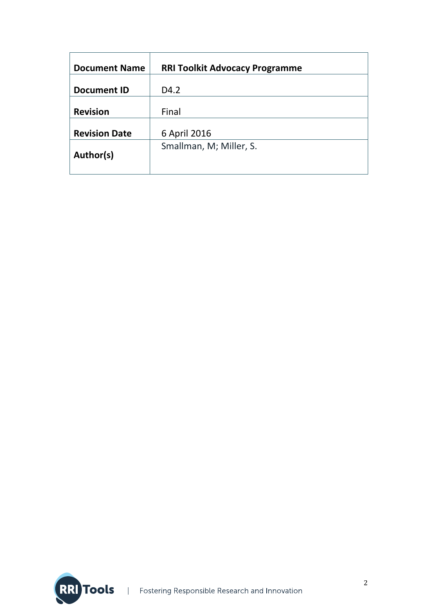| <b>Document Name</b> | <b>RRI Toolkit Advocacy Programme</b> |
|----------------------|---------------------------------------|
| <b>Document ID</b>   | D <sub>4.2</sub>                      |
| <b>Revision</b>      | Final                                 |
| <b>Revision Date</b> | 6 April 2016                          |
| Author(s)            | Smallman, M; Miller, S.               |
|                      |                                       |

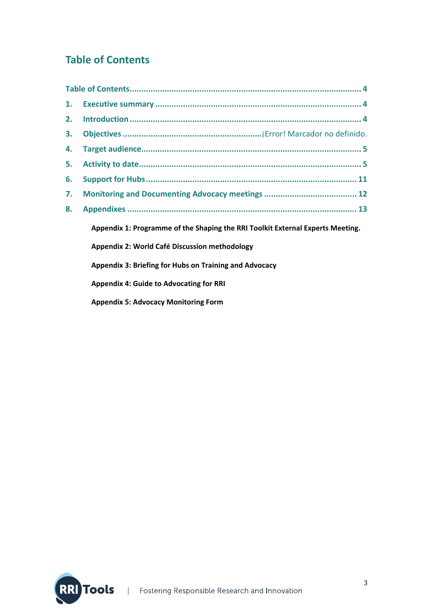# **Table of Contents**

| 1. |                                                                                |
|----|--------------------------------------------------------------------------------|
| 2. |                                                                                |
| 3. |                                                                                |
| 4. |                                                                                |
| 5. |                                                                                |
| 6. |                                                                                |
| 7. |                                                                                |
| 8. |                                                                                |
|    | Appendix 1: Programme of the Shaping the RRI Toolkit External Experts Meeting. |
|    | Appendix 2: World Café Discussion methodology                                  |
|    | Appendix 3: Briefing for Hubs on Training and Advocacy                         |
|    | <b>Appendix 4: Guide to Advocating for RRI</b>                                 |
|    | <b>Appendix 5: Advocacy Monitoring Form</b>                                    |

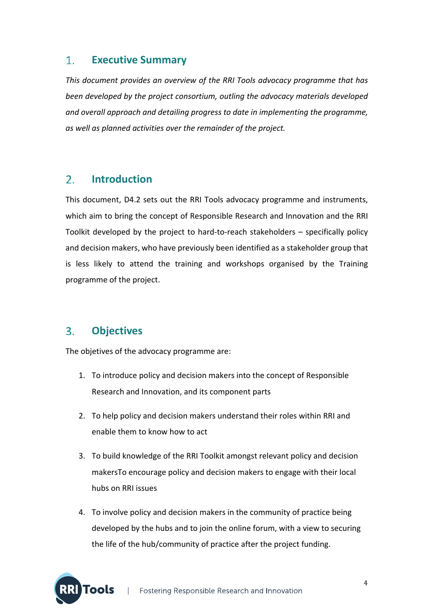#### $1.$ **Executive Summary**

*This document provides an overview of the RRI Tools advocacy programme that has been developed by the project consortium, outling the advocacy materials developed and overall approach and detailing progress to date in implementing the programme, as well as planned activities over the remainder of the project.*

#### $2.$ **Introduction**

This document, D4.2 sets out the RRI Tools advocacy programme and instruments, which aim to bring the concept of Responsible Research and Innovation and the RRI Toolkit developed by the project to hard‐to‐reach stakeholders – specifically policy and decision makers, who have previously been identified as a stakeholder group that is less likely to attend the training and workshops organised by the Training programme of the project.

#### **Objectives** 3.

The objetives of the advocacy programme are:

- 1. To introduce policy and decision makers into the concept of Responsible Research and Innovation, and its component parts
- 2. To help policy and decision makers understand their roles within RRI and enable them to know how to act
- 3. To build knowledge of the RRI Toolkit amongst relevant policy and decision makersTo encourage policy and decision makers to engage with their local hubs on RRI issues
- 4. To involve policy and decision makers in the community of practice being developed by the hubs and to join the online forum, with a view to securing the life of the hub/community of practice after the project funding.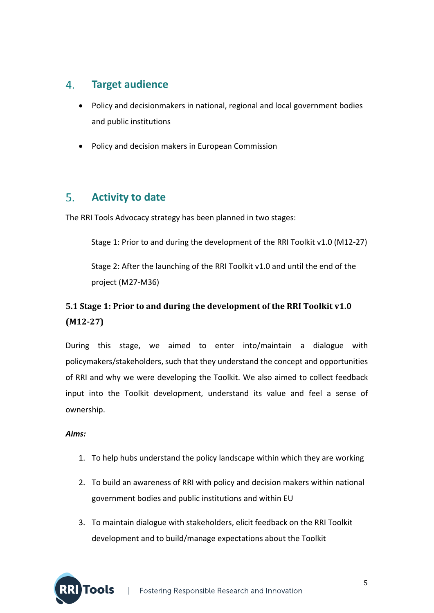#### **Target audience**  $\mathbf{4}$ .

- Policy and decisionmakers in national, regional and local government bodies and public institutions
- Policy and decision makers in European Commission

#### $5<sub>1</sub>$ **Activity to date**

The RRI Tools Advocacy strategy has been planned in two stages:

Stage 1: Prior to and during the development of the RRI Toolkit v1.0 (M12-27)

Stage 2: After the launching of the RRI Toolkit v1.0 and until the end of the project (M27‐M36)

# **5.1 Stage 1: Prior to and during the development of the RRI Toolkit v1.0 (M12‐27)**

During this stage, we aimed to enter into/maintain a dialogue with policymakers/stakeholders, such that they understand the concept and opportunities of RRI and why we were developing the Toolkit. We also aimed to collect feedback input into the Toolkit development, understand its value and feel a sense of ownership.

#### *Aims:*

- 1. To help hubs understand the policy landscape within which they are working
- 2. To build an awareness of RRI with policy and decision makers within national government bodies and public institutions and within EU
- 3. To maintain dialogue with stakeholders, elicit feedback on the RRI Toolkit development and to build/manage expectations about the Toolkit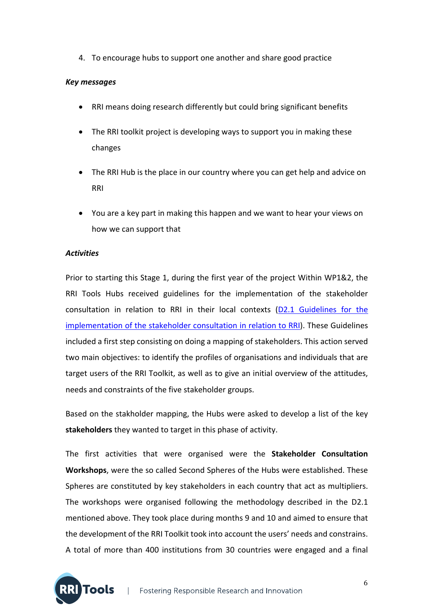4. To encourage hubs to support one another and share good practice

#### *Key messages*

- RRI means doing research differently but could bring significant benefits
- The RRI toolkit project is developing ways to support you in making these changes
- The RRI Hub is the place in our country where you can get help and advice on RRI
- You are a key part in making this happen and we want to hear your views on how we can support that

#### *Activities*

Prior to starting this Stage 1, during the first year of the project Within WP1&2, the RRI Tools Hubs received guidelines for the implementation of the stakeholder consultation in relation to RRI in their local contexts (D2.1 Guidelines for the implementation of the stakeholder consultation in relation to RRI). These Guidelines included a first step consisting on doing a mapping of stakeholders. This action served two main objectives: to identify the profiles of organisations and individuals that are target users of the RRI Toolkit, as well as to give an initial overview of the attitudes, needs and constraints of the five stakeholder groups.

Based on the stakholder mapping, the Hubs were asked to develop a list of the key **stakeholders** they wanted to target in this phase of activity.

The first activities that were organised were the **Stakeholder Consultation Workshops**, were the so called Second Spheres of the Hubs were established. These Spheres are constituted by key stakeholders in each country that act as multipliers. The workshops were organised following the methodology described in the D2.1 mentioned above. They took place during months 9 and 10 and aimed to ensure that the development of the RRI Toolkit took into account the users' needs and constrains. A total of more than 400 institutions from 30 countries were engaged and a final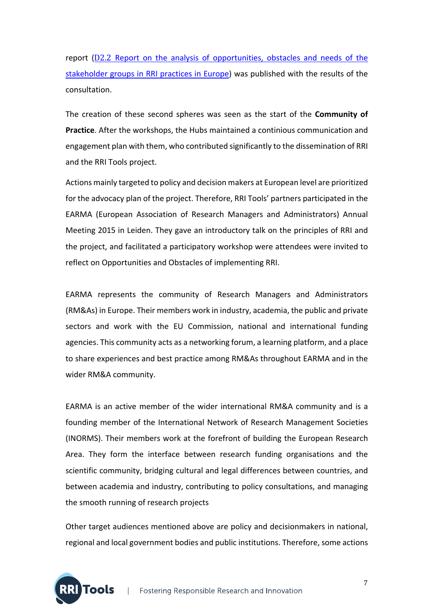report (D2.2 Report on the analysis of opportunities, obstacles and needs of the stakeholder groups in RRI practices in Europe) was published with the results of the consultation.

The creation of these second spheres was seen as the start of the **Community of Practice**. After the workshops, the Hubs maintained a continious communication and engagement plan with them, who contributed significantly to the dissemination of RRI and the RRI Tools project.

Actions mainly targeted to policy and decision makers at European level are prioritized for the advocacy plan of the project. Therefore, RRI Tools' partners participated in the EARMA (European Association of Research Managers and Administrators) Annual Meeting 2015 in Leiden. They gave an introductory talk on the principles of RRI and the project, and facilitated a participatory workshop were attendees were invited to reflect on Opportunities and Obstacles of implementing RRI.

EARMA represents the community of Research Managers and Administrators (RM&As) in Europe. Their members work in industry, academia, the public and private sectors and work with the EU Commission, national and international funding agencies. This community acts as a networking forum, a learning platform, and a place to share experiences and best practice among RM&As throughout EARMA and in the wider RM&A community.

EARMA is an active member of the wider international RM&A community and is a founding member of the International Network of Research Management Societies (INORMS). Their members work at the forefront of building the European Research Area. They form the interface between research funding organisations and the scientific community, bridging cultural and legal differences between countries, and between academia and industry, contributing to policy consultations, and managing the smooth running of research projects

Other target audiences mentioned above are policy and decisionmakers in national, regional and local government bodies and public institutions. Therefore, some actions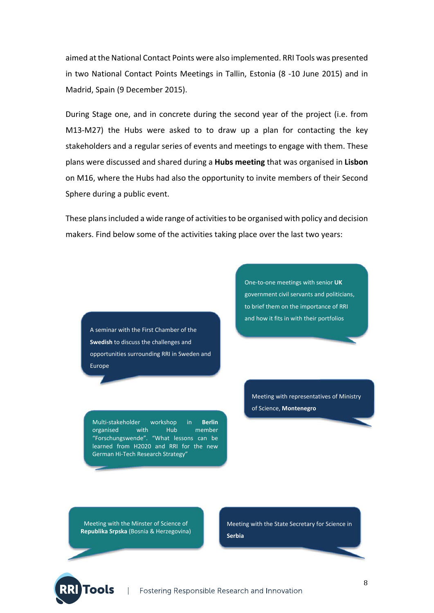aimed at the National Contact Points were also implemented. RRI Tools was presented in two National Contact Points Meetings in Tallin, Estonia (8 ‐10 June 2015) and in Madrid, Spain (9 December 2015).

During Stage one, and in concrete during the second year of the project (i.e. from M13‐M27) the Hubs were asked to to draw up a plan for contacting the key stakeholders and a regular series of events and meetings to engage with them. These plans were discussed and shared during a **Hubs meeting** that was organised in **Lisbon** on M16, where the Hubs had also the opportunity to invite members of their Second Sphere during a public event.

These plans included a wide range of activities to be organised with policy and decision makers. Find below some of the activities taking place over the last two years:

A seminar with the First Chamber of the **Swedish** to discuss the challenges and opportunities surrounding RRI in Sweden and Europe

Multi‐stakeholder workshop in **Berlin** organised with Hub member "Forschungswende". "What lessons can be learned from H2020 and RRI for the new German Hi‐Tech Research Strategy"

One‐to‐one meetings with senior **UK** government civil servants and politicians, to brief them on the importance of RRI and how it fits in with their portfolios

Meeting with representatives of Ministry of Science, **Montenegro** 

Meeting with the Minster of Science of **Republika Srpska** (Bosnia & Herzegovina)

**Fools** 

Meeting with the State Secretary for Science in **Serbia**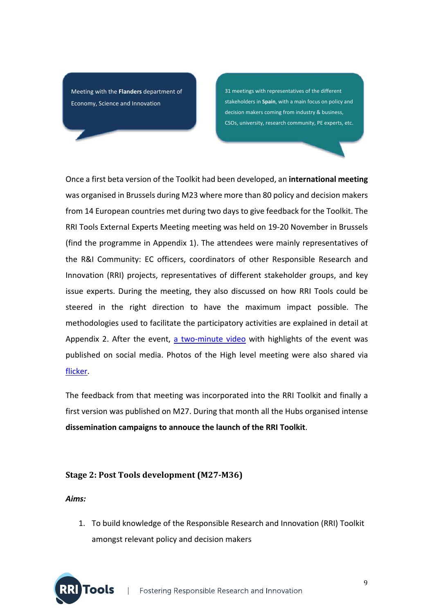Meeting with the **Flanders** department of Economy, Science and Innovation

31 meetings with representatives of the different stakeholders in **Spain**, with a main focus on policy and decision makers coming from industry & business, CSOs, university, research community, PE experts, etc.

Once a first beta version of the Toolkit had been developed, an **international meeting** was organised in Brussels during M23 where more than 80 policy and decision makers from 14 European countries met during two days to give feedback for the Toolkit. The RRI Tools External Experts Meeting meeting was held on 19‐20 November in Brussels (find the programme in Appendix 1). The attendees were mainly representatives of the R&I Community: EC officers, coordinators of other Responsible Research and Innovation (RRI) projects, representatives of different stakeholder groups, and key issue experts. During the meeting, they also discussed on how RRI Tools could be steered in the right direction to have the maximum impact possible. The methodologies used to facilitate the participatory activities are explained in detail at Appendix 2. After the event, a two-minute video with highlights of the event was published on social media. Photos of the High level meeting were also shared via flicker.

The feedback from that meeting was incorporated into the RRI Toolkit and finally a first version was published on M27. During that month all the Hubs organised intense **dissemination campaigns to annouce the launch of the RRI Toolkit**.

#### **Stage 2: Post Tools development (M27‐M36)**

*Aims:*

1. To build knowledge of the Responsible Research and Innovation (RRI) Toolkit amongst relevant policy and decision makers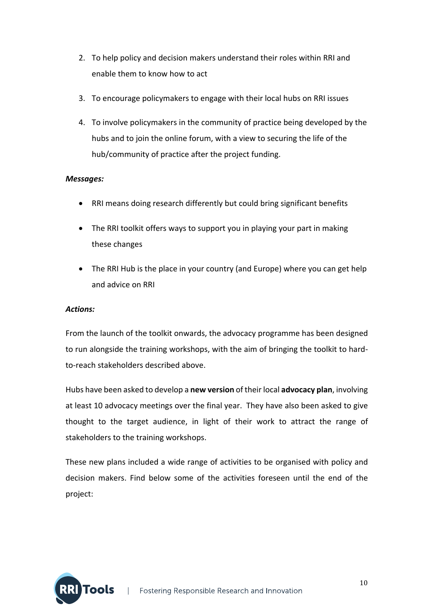- 2. To help policy and decision makers understand their roles within RRI and enable them to know how to act
- 3. To encourage policymakers to engage with their local hubs on RRI issues
- 4. To involve policymakers in the community of practice being developed by the hubs and to join the online forum, with a view to securing the life of the hub/community of practice after the project funding.

#### *Messages:*

- RRI means doing research differently but could bring significant benefits
- The RRI toolkit offers ways to support you in playing your part in making these changes
- The RRI Hub is the place in your country (and Europe) where you can get help and advice on RRI

#### *Actions:*

From the launch of the toolkit onwards, the advocacy programme has been designed to run alongside the training workshops, with the aim of bringing the toolkit to hard‐ to‐reach stakeholders described above.

Hubs have been asked to develop a **new version** of their local **advocacy plan**, involving at least 10 advocacy meetings over the final year. They have also been asked to give thought to the target audience, in light of their work to attract the range of stakeholders to the training workshops.

These new plans included a wide range of activities to be organised with policy and decision makers. Find below some of the activities foreseen until the end of the project:

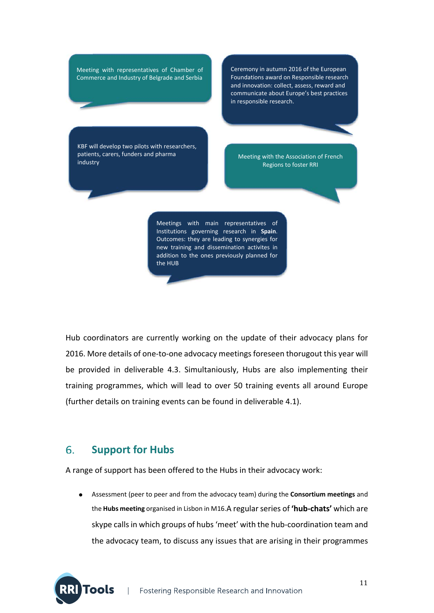Meeting with representatives of Chamber of Commerce and Industry of Belgrade and Serbia

Ceremony in autumn 2016 of the European Foundations award on Responsible research and innovation: collect, assess, reward and communicate about Europe's best practices in responsible research.

KBF will develop two pilots with researchers, patients, carers, funders and pharma patients, carers, funders and pharma<br>industry and pharma and pharma and pharma and the Meeting with the Association of French<br>Begions to foster PPI

Regions to foster RRI

Meetings with main representatives of Institutions governing research in **Spain**. Outcomes: they are leading to synergies for new training and dissemination activites in addition to the ones previously planned for the HUB

Hub coordinators are currently working on the update of their advocacy plans for 2016. More details of one-to-one advocacy meetings foreseen thorugout this year will be provided in deliverable 4.3. Simultaniously, Hubs are also implementing their training programmes, which will lead to over 50 training events all around Europe (further details on training events can be found in deliverable 4.1). 

#### 6. **Support for Hubs**

A range of support has been offered to the Hubs in their advocacy work:

 Assessment (peer to peer and from the advocacy team) during the **Consortium meetings** and the **Hubs meeting** organised in Lisbon in M16.A regularseries of **'hub‐chats'** which are skype calls in which groups of hubs 'meet' with the hub-coordination team and the advocacy team, to discuss any issues that are arising in their programmes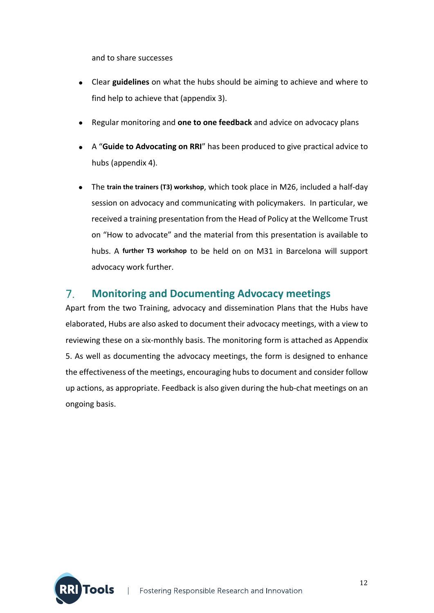and to share successes

- Clear **guidelines** on what the hubs should be aiming to achieve and where to find help to achieve that (appendix 3).
- Regular monitoring and **one to one feedback** and advice on advocacy plans
- A "**Guide to Advocating on RRI**" has been produced to give practical advice to hubs (appendix 4).
- The **train the trainers (T3) workshop**, which took place in M26, included a half‐day session on advocacy and communicating with policymakers. In particular, we received a training presentation from the Head of Policy at the Wellcome Trust on "How to advocate" and the material from this presentation is available to hubs. A **further T3 workshop** to be held on on M31 in Barcelona will support advocacy work further.

#### $7<sub>1</sub>$ **Monitoring and Documenting Advocacy meetings**

Apart from the two Training, advocacy and dissemination Plans that the Hubs have elaborated, Hubs are also asked to document their advocacy meetings, with a view to reviewing these on a six‐monthly basis. The monitoring form is attached as Appendix 5. As well as documenting the advocacy meetings, the form is designed to enhance the effectiveness of the meetings, encouraging hubs to document and consider follow up actions, as appropriate. Feedback is also given during the hub‐chat meetings on an ongoing basis.

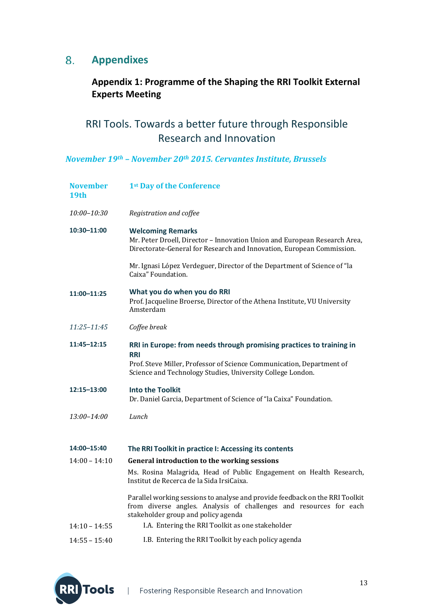# **Appendixes**

# **Appendix 1: Programme of the Shaping the RRI Toolkit External Experts Meeting**

# RRI Tools. Towards a better future through Responsible Research and Innovation

*November 19th – November 20th 2015. Cervantes Institute, Brussels*

| <b>November</b><br>19 <sub>th</sub> | 1st Day of the Conference                                                                                                                                                                                                 |  |
|-------------------------------------|---------------------------------------------------------------------------------------------------------------------------------------------------------------------------------------------------------------------------|--|
| 10:00-10:30                         | Registration and coffee                                                                                                                                                                                                   |  |
| 10:30-11:00                         | <b>Welcoming Remarks</b><br>Mr. Peter Droell, Director - Innovation Union and European Research Area,<br>Directorate-General for Research and Innovation, European Commission.                                            |  |
|                                     | Mr. Ignasi López Verdeguer, Director of the Department of Science of "la<br>Caixa" Foundation.                                                                                                                            |  |
| 11:00-11:25                         | What you do when you do RRI<br>Prof. Jacqueline Broerse, Director of the Athena Institute, VU University<br>Amsterdam                                                                                                     |  |
| 11:25-11:45                         | Coffee break                                                                                                                                                                                                              |  |
| 11:45-12:15                         | RRI in Europe: from needs through promising practices to training in<br><b>RRI</b><br>Prof. Steve Miller, Professor of Science Communication, Department of<br>Science and Technology Studies, University College London. |  |
| 12:15-13:00                         | <b>Into the Toolkit</b><br>Dr. Daniel Garcia, Department of Science of "la Caixa" Foundation.                                                                                                                             |  |
| $13:00 - 14:00$                     | Lunch                                                                                                                                                                                                                     |  |
| 14:00-15:40                         | The RRI Toolkit in practice I: Accessing its contents                                                                                                                                                                     |  |
| $14:00 - 14:10$                     | General introduction to the working sessions                                                                                                                                                                              |  |
|                                     | Ms. Rosina Malagrida, Head of Public Engagement on Health Research,<br>Institut de Recerca de la Sida IrsiCaixa.                                                                                                          |  |
|                                     | Parallel working sessions to analyse and provide feedback on the RRI Toolkit<br>from diverse angles. Analysis of challenges and resources for each<br>stakeholder group and policy agenda                                 |  |
| $14:10 - 14:55$                     | I.A. Entering the RRI Toolkit as one stakeholder                                                                                                                                                                          |  |
| $14:55 - 15:40$                     | I.B. Entering the RRI Toolkit by each policy agenda                                                                                                                                                                       |  |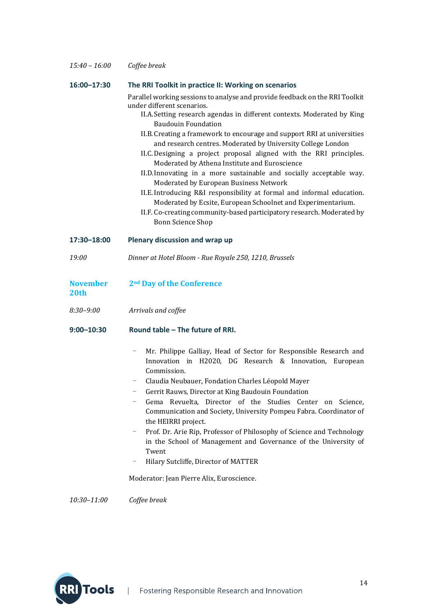| $15:40 - 16:00$ | Coffee break |
|-----------------|--------------|
|-----------------|--------------|

#### **16:00–17:30 The RRI Toolkit in practice II: Working on scenarios**

 Parallel working sessions to analyse and provide feedback on the RRI Toolkit under different scenarios. 

- II.A. Setting research agendas in different contexts. Moderated by King Baudouin Foundation
- II.B. Creating a framework to encourage and support RRI at universities and research centres. Moderated by University College London
- II.C. Designing a project proposal aligned with the RRI principles. Moderated by Athena Institute and Euroscience
- II.D.Innovating in a more sustainable and socially acceptable way. Moderated by European Business Network
- II.E. Introducing R&I responsibility at formal and informal education. Moderated by Ecsite, European Schoolnet and Experimentarium.
- II.F. Co-creating community-based participatory research. Moderated by Bonn Science Shop

#### **17:30–18:00 Plenary discussion and wrap up**

*19:00 Dinner at Hotel Bloom ‐ Rue Royale 250, 1210, Brussels*

#### **November 2nd Day of the Conference**

**20th** 

*8:30–9:00 Arrivals and coffee*

#### **9:00–10:30 Round table – The future of RRI.**

- Mr. Philippe Galliay, Head of Sector for Responsible Research and Innovation in H2020, DG Research & Innovation, European Commission.
- Claudia Neubauer, Fondation Charles Léopold Mayer
- Gerrit Rauws, Director at King Baudouin Foundation
- Gema Revuelta, Director of the Studies Center on Science, Communication and Society, University Pompeu Fabra. Coordinator of the HEIRRI project.
- Prof. Dr. Arie Rip, Professor of Philosophy of Science and Technology in the School of Management and Governance of the University of Twent
- Hilary Sutcliffe, Director of MATTER

Moderator: Jean Pierre Alix, Euroscience.

*10:30–11:00 Coffee break*

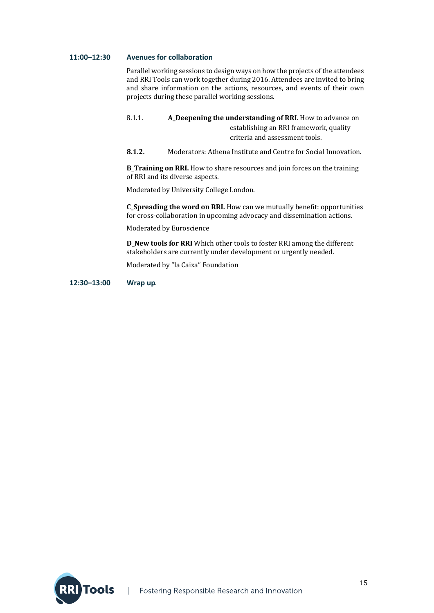#### **11:00–12:30 Avenues for collaboration**

Parallel working sessions to design ways on how the projects of the attendees and RRI Tools can work together during 2016. Attendees are invited to bring and share information on the actions, resources, and events of their own projects during these parallel working sessions.

8.1.1. **A\_Deepening the understanding of RRI.** How to advance on establishing an RRI framework, quality criteria and assessment tools.

**8.1.2.** Moderators: Athena Institute and Centre for Social Innovation.

**B\_Training on RRI.** How to share resources and join forces on the training of RRI and its diverse aspects.

Moderated by University College London.

**C\_Spreading the word on RRI.** How can we mutually benefit: opportunities for cross-collaboration in upcoming advocacy and dissemination actions.

Moderated by Euroscience

**D\_New tools for RRI** Which other tools to foster RRI among the different stakeholders are currently under development or urgently needed.

Moderated by "la Caixa" Foundation

**12:30–13:00 Wrap up**.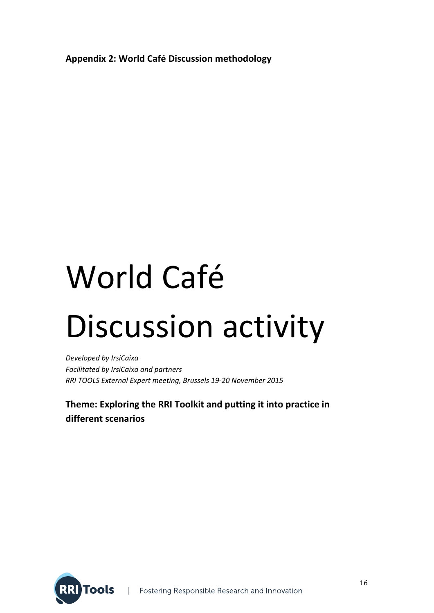**Appendix 2: World Café Discussion methodology**

# World Café Discussion activity

*Developed by IrsiCaixa Facilitated by IrsiCaixa and partners RRI TOOLS External Expert meeting, Brussels 19‐20 November 2015*

**Theme: Exploring the RRI Toolkit and putting it into practice in different scenarios**

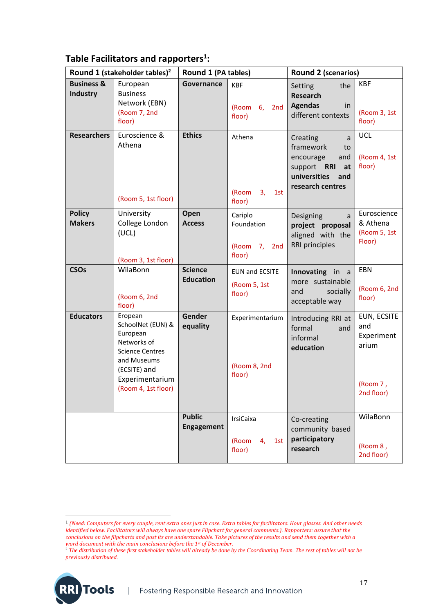# **Table Facilitators and rapporters<sup>1</sup>:**

| Round 1 (stakeholder tables) <sup>2</sup> |                                                                                                                                                            | Round 1 (PA tables)                |                                                    | Round 2 (scenarios)                                                                                                  |                                                                     |
|-------------------------------------------|------------------------------------------------------------------------------------------------------------------------------------------------------------|------------------------------------|----------------------------------------------------|----------------------------------------------------------------------------------------------------------------------|---------------------------------------------------------------------|
| <b>Business &amp;</b><br><b>Industry</b>  | European<br><b>Business</b><br>Network (EBN)<br>(Room 7, 2nd<br>floor)                                                                                     | Governance                         | <b>KBF</b><br>(Room 6,<br>2nd<br>floor)            | the<br>Setting<br><b>Research</b><br><b>Agendas</b><br>in<br>different contexts                                      | <b>KBF</b><br>(Room 3, 1st<br>floor)                                |
| <b>Researchers</b>                        | Euroscience &<br>Athena<br>(Room 5, 1st floor)                                                                                                             | <b>Ethics</b>                      | Athena<br>(Room<br>3 <sub>r</sub><br>1st<br>floor) | Creating<br>a<br>framework<br>to<br>and<br>encourage<br>support RRI<br>at<br>universities<br>and<br>research centres | <b>UCL</b><br>(Room 4, 1st<br>floor)                                |
| <b>Policy</b><br><b>Makers</b>            | University<br>College London<br>(UCL)<br>(Room 3, 1st floor)                                                                                               | Open<br><b>Access</b>              | Cariplo<br>Foundation<br>(Room 7, 2nd<br>floor)    | Designing<br>a<br>project proposal<br>aligned with the<br><b>RRI</b> principles                                      | Euroscience<br>& Athena<br>(Room 5, 1st<br>Floor)                   |
| <b>CSOs</b>                               | WilaBonn<br>(Room 6, 2nd<br>floor)                                                                                                                         | <b>Science</b><br><b>Education</b> | <b>EUN and ECSITE</b><br>(Room 5, 1st<br>floor)    | Innovating in a<br>more sustainable<br>socially<br>and<br>acceptable way                                             | EBN<br>(Room 6, 2nd<br>floor)                                       |
| <b>Educators</b>                          | Eropean<br>SchoolNet (EUN) &<br>European<br>Networks of<br><b>Science Centres</b><br>and Museums<br>(ECSITE) and<br>Experimentarium<br>(Room 4, 1st floor) | Gender<br>equality                 | Experimentarium<br>(Room 8, 2nd<br>floor)          | Introducing RRI at<br>formal<br>and<br>informal<br>education                                                         | EUN, ECSITE<br>and<br>Experiment<br>arium<br>(Room 7,<br>2nd floor) |
|                                           |                                                                                                                                                            | <b>Public</b><br><b>Engagement</b> | <b>IrsiCaixa</b><br>(Room<br>4,<br>1st<br>floor)   | Co-creating<br>community based<br>participatory<br>research                                                          | WilaBonn<br>(Room 8,<br>2nd floor)                                  |

 

**RRI** Tools

<sup>&</sup>lt;sup>1</sup> (Need: Computers for every couple, rent extra ones just in case. Extra tables for facilitators. Hour glasses. And other needs identified below. Facilitators will always have one spare Flipchart for general comments.). Rapporters: assure that the conclusions on the flipcharts and post its are understandable. Take pictures of the results and send them together with a *word document with the main conclusions before the 1st of December.*

<sup>2</sup> *The distribution of these first stakeholder tables will already be done by the Coordinating Team. The rest of tables will not be previously distributed.*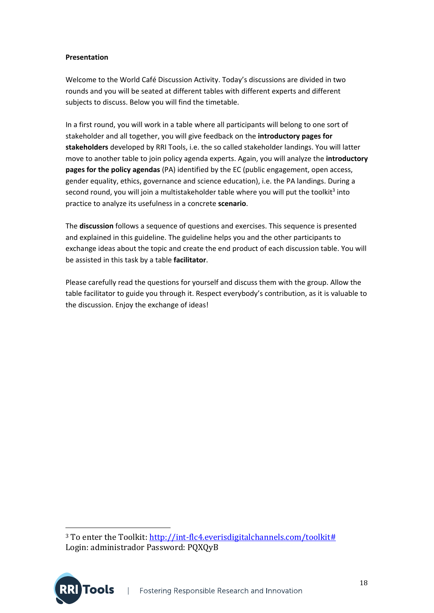#### **Presentation**

Welcome to the World Café Discussion Activity. Today's discussions are divided in two rounds and you will be seated at different tables with different experts and different subjects to discuss. Below you will find the timetable.

In a first round, you will work in a table where all participants will belong to one sort of stakeholder and all together, you will give feedback on the **introductory pages for stakeholders** developed by RRI Tools, i.e. the so called stakeholder landings. You will latter move to another table to join policy agenda experts. Again, you will analyze the **introductory pages for the policy agendas** (PA) identified by the EC (public engagement, open access, gender equality, ethics, governance and science education), i.e. the PA landings. During a second round, you will join a multistakeholder table where you will put the toolkit<sup>3</sup> into practice to analyze its usefulness in a concrete **scenario**.

The **discussion** follows a sequence of questions and exercises. This sequence is presented and explained in this guideline. The guideline helps you and the other participants to exchange ideas about the topic and create the end product of each discussion table. You will be assisted in this task by a table **facilitator**.

Please carefully read the questions for yourself and discuss them with the group. Allow the table facilitator to guide you through it. Respect everybody's contribution, as it is valuable to the discussion. Enjoy the exchange of ideas!

 

<sup>&</sup>lt;sup>3</sup> To enter the Toolkit: http://int-flc4.everisdigitalchannels.com/toolkit# Login: administrador Password: PQXQyB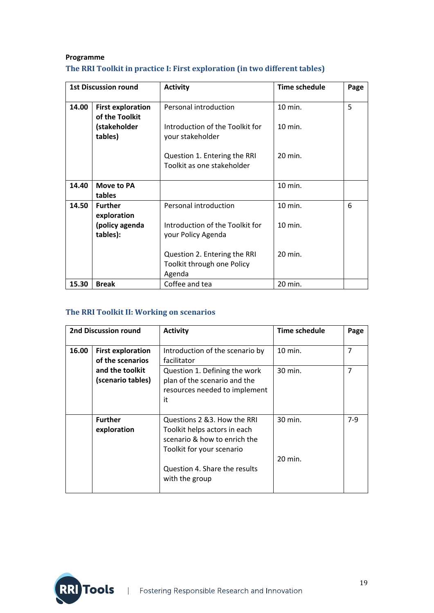#### **Programme The RRI Toolkit in practice I: First exploration (in two different tables)**

| <b>1st Discussion round</b> |                                            | <b>Activity</b>                                                      | <b>Time schedule</b> | Page |
|-----------------------------|--------------------------------------------|----------------------------------------------------------------------|----------------------|------|
| 14.00                       | <b>First exploration</b><br>of the Toolkit | Personal introduction                                                | 10 min.              | 5    |
|                             | (stakeholder<br>tables)                    | Introduction of the Toolkit for<br>your stakeholder                  | $10$ min.            |      |
|                             |                                            | Question 1. Entering the RRI<br>Toolkit as one stakeholder           | 20 min.              |      |
| 14.40                       | Move to PA<br>tables                       |                                                                      | 10 min.              |      |
| 14.50                       | <b>Further</b>                             | Personal introduction                                                | 10 min.              | 6    |
|                             | exploration<br>(policy agenda<br>tables):  | Introduction of the Toolkit for<br>your Policy Agenda                | 10 min.              |      |
|                             |                                            | Question 2. Entering the RRI<br>Toolkit through one Policy<br>Agenda | 20 min.              |      |
| 15.30                       | <b>Break</b>                               | Coffee and tea                                                       | 20 min.              |      |

#### **The RRI Toolkit II: Working on scenarios**

| <b>2nd Discussion round</b> |                                              | <b>Activity</b>                                                                                                                                                              | Time schedule      | Page  |
|-----------------------------|----------------------------------------------|------------------------------------------------------------------------------------------------------------------------------------------------------------------------------|--------------------|-------|
| 16.00                       | <b>First exploration</b><br>of the scenarios | Introduction of the scenario by<br>facilitator                                                                                                                               | 10 min.            | 7     |
|                             | and the toolkit<br>(scenario tables)         | Question 1. Defining the work<br>plan of the scenario and the<br>resources needed to implement<br>it                                                                         | 30 min.            | 7     |
|                             | <b>Further</b><br>exploration                | Questions 2 & 3. How the RRI<br>Toolkit helps actors in each<br>scenario & how to enrich the<br>Toolkit for your scenario<br>Question 4. Share the results<br>with the group | 30 min.<br>20 min. | $7-9$ |

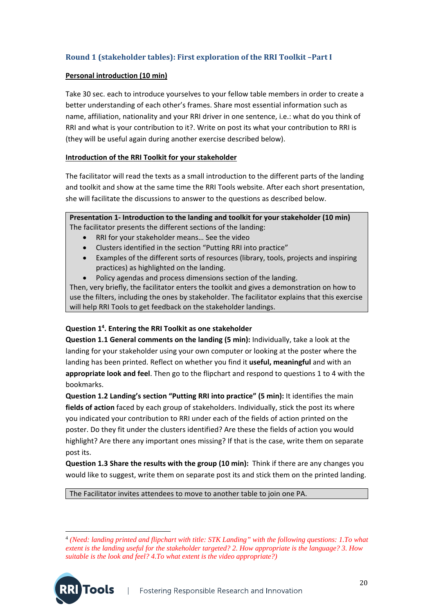#### **Round 1 (stakeholder tables): First exploration of the RRI Toolkit –Part I**

#### **Personal introduction (10 min)**

Take 30 sec. each to introduce yourselves to your fellow table members in order to create a better understanding of each other's frames. Share most essential information such as name, affiliation, nationality and your RRI driver in one sentence, i.e.: what do you think of RRI and what is your contribution to it?. Write on post its what your contribution to RRI is (they will be useful again during another exercise described below).

#### **Introduction of the RRI Toolkit for your stakeholder**

The facilitator will read the texts as a small introduction to the different parts of the landing and toolkit and show at the same time the RRI Tools website. After each short presentation, she will facilitate the discussions to answer to the questions as described below.

**Presentation 1‐ Introduction to the landing and toolkit for your stakeholder (10 min)** The facilitator presents the different sections of the landing:

- RRI for your stakeholder means… See the video
- Clusters identified in the section "Putting RRI into practice"
- Examples of the different sorts of resources (library, tools, projects and inspiring practices) as highlighted on the landing.
- Policy agendas and process dimensions section of the landing.

Then, very briefly, the facilitator enters the toolkit and gives a demonstration on how to use the filters, including the ones by stakeholder. The facilitator explains that this exercise will help RRI Tools to get feedback on the stakeholder landings.

#### **Question 14 . Entering the RRI Toolkit as one stakeholder**

**Question 1.1 General comments on the landing (5 min):** Individually, take a look at the landing for your stakeholder using your own computer or looking at the poster where the landing has been printed. Reflect on whether you find it **useful, meaningful** and with an **appropriate look and feel**. Then go to the flipchart and respond to questions 1 to 4 with the bookmarks.

**Question 1.2 Landing's section "Putting RRI into practice" (5 min):** It identifies the main **fields of action** faced by each group of stakeholders. Individually, stick the post its where you indicated your contribution to RRI under each of the fields of action printed on the poster. Do they fit under the clusters identified? Are these the fields of action you would highlight? Are there any important ones missing? If that is the case, write them on separate post its.

**Question 1.3 Share the results with the group (10 min):** Think if there are any changes you would like to suggest, write them on separate post its and stick them on the printed landing.

The Facilitator invites attendees to move to another table to join one PA.

Tools

 <sup>4</sup> *(Need: landing printed and flipchart with title: STK Landing" with the following questions: 1.To what extent is the landing useful for the stakeholder targeted? 2. How appropriate is the language? 3. How suitable is the look and feel? 4.To what extent is the video appropriate?)*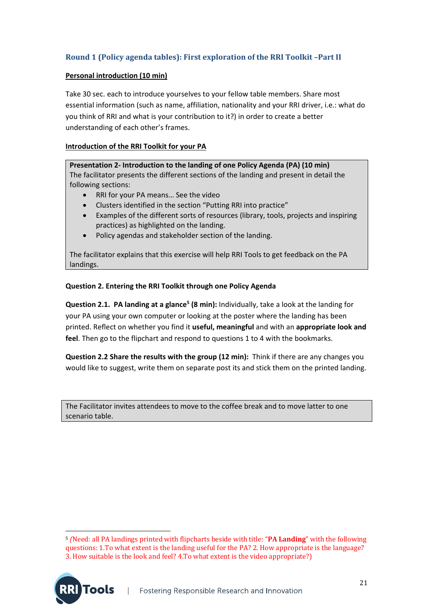#### **Round 1 (Policy agenda tables): First exploration of the RRI Toolkit –Part II**

#### **Personal introduction (10 min)**

Take 30 sec. each to introduce yourselves to your fellow table members. Share most essential information (such as name, affiliation, nationality and your RRI driver, i.e.: what do you think of RRI and what is your contribution to it?) in order to create a better understanding of each other's frames.

#### **Introduction of the RRI Toolkit for your PA**

**Presentation 2‐ Introduction to the landing of one Policy Agenda (PA) (10 min)** The facilitator presents the different sections of the landing and present in detail the following sections:

- RRI for your PA means… See the video
- Clusters identified in the section "Putting RRI into practice"
- Examples of the different sorts of resources (library, tools, projects and inspiring practices) as highlighted on the landing.
- Policy agendas and stakeholder section of the landing.

The facilitator explains that this exercise will help RRI Tools to get feedback on the PA landings.

#### **Question 2. Entering the RRI Toolkit through one Policy Agenda**

**Question 2.1. PA landing at a glance5 (8 min):** Individually, take a look at the landing for your PA using your own computer or looking at the poster where the landing has been printed. Reflect on whether you find it **useful, meaningful** and with an **appropriate look and feel**. Then go to the flipchart and respond to questions 1 to 4 with the bookmarks.

**Question 2.2 Share the results with the group (12 min):** Think if there are any changes you would like to suggest, write them on separate post its and stick them on the printed landing.

The Facilitator invites attendees to move to the coffee break and to move latter to one scenario table.

**Tools** 

 <sup>5</sup> *(*Need: all PA landings printed with flipcharts beside with title: "**PA Landing**" with the following questions: 1.To what extent is the landing useful for the PA? 2. How appropriate is the language? 3. How suitable is the look and feel? 4.To what extent is the video appropriate?)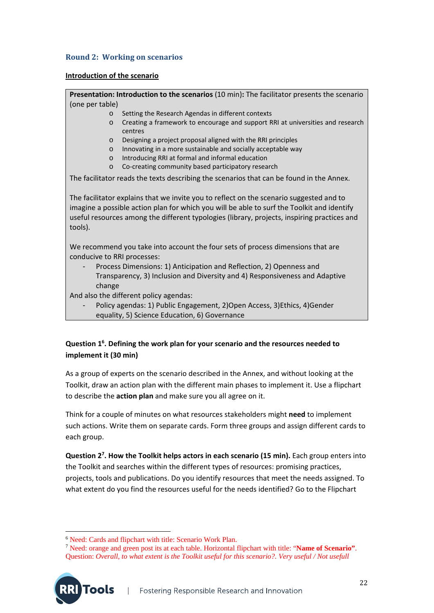#### **Round 2: Working on scenarios**

#### **Introduction of the scenario**

**Presentation: Introduction to the scenarios** (10 min)**:** The facilitator presents the scenario (one per table)

- o Setting the Research Agendas in different contexts
- o Creating a framework to encourage and support RRI at universities and research centres
- o Designing a project proposal aligned with the RRI principles
- o Innovating in a more sustainable and socially acceptable way
- o Introducing RRI at formal and informal education
- o Co‐creating community based participatory research

The facilitator reads the texts describing the scenarios that can be found in the Annex.

The facilitator explains that we invite you to reflect on the scenario suggested and to imagine a possible action plan for which you will be able to surf the Toolkit and identify useful resources among the different typologies (library, projects, inspiring practices and tools).

We recommend you take into account the four sets of process dimensions that are conducive to RRI processes:

‐ Process Dimensions: 1) Anticipation and Reflection, 2) Openness and Transparency, 3) Inclusion and Diversity and 4) Responsiveness and Adaptive change

And also the different policy agendas:

‐ Policy agendas: 1) Public Engagement, 2)Open Access, 3)Ethics, 4)Gender equality, 5) Science Education, 6) Governance

#### **Question 16 . Defining the work plan for your scenario and the resources needed to implement it (30 min)**

As a group of experts on the scenario described in the Annex, and without looking at the Toolkit, draw an action plan with the different main phases to implement it. Use a flipchart to describe the **action plan** and make sure you all agree on it.

Think for a couple of minutes on what resources stakeholders might **need** to implement such actions. Write them on separate cards. Form three groups and assign different cards to each group.

**Question 27 . How the Toolkit helps actors in each scenario (15 min).** Each group enters into the Toolkit and searches within the different types of resources: promising practices, projects, tools and publications. Do you identify resources that meet the needs assigned. To what extent do you find the resources useful for the needs identified? Go to the Flipchart

**Tools** 

 <sup>6</sup> Need: Cards and flipchart with title: Scenario Work Plan.

<sup>7</sup> Need: orange and green post its at each table. Horizontal flipchart with title: "**Name of Scenario"**. Question: *Overall, to what extent is the Toolkit useful for this scenario?. Very useful / Not usefull*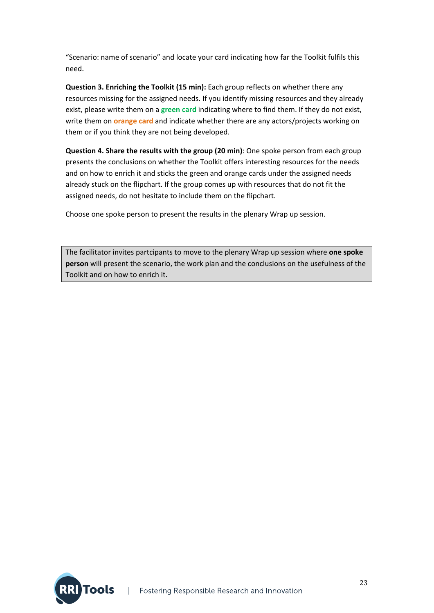"Scenario: name of scenario" and locate your card indicating how far the Toolkit fulfils this need.

**Question 3. Enriching the Toolkit (15 min):** Each group reflects on whether there any resources missing for the assigned needs. If you identify missing resources and they already exist, please write them on a **green card** indicating where to find them. If they do not exist, write them on **orange card** and indicate whether there are any actors/projects working on them or if you think they are not being developed.

**Question 4. Share the results with the group (20 min)**: One spoke person from each group presents the conclusions on whether the Toolkit offers interesting resources for the needs and on how to enrich it and sticks the green and orange cards under the assigned needs already stuck on the flipchart. If the group comes up with resources that do not fit the assigned needs, do not hesitate to include them on the flipchart.

Choose one spoke person to present the results in the plenary Wrap up session.

The facilitator invites partcipants to move to the plenary Wrap up session where **one spoke person** will present the scenario, the work plan and the conclusions on the usefulness of the Toolkit and on how to enrich it.

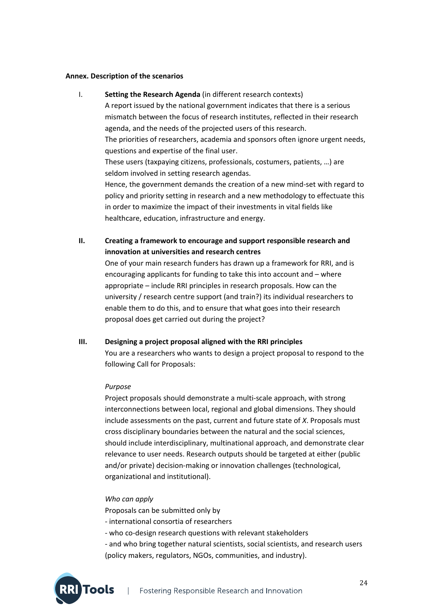#### **Annex. Description of the scenarios**

- I. **Setting the Research Agenda** (in different research contexts) A report issued by the national government indicates that there is a serious mismatch between the focus of research institutes, reflected in their research agenda, and the needs of the projected users of this research. The priorities of researchers, academia and sponsors often ignore urgent needs, questions and expertise of the final user. These users (taxpaying citizens, professionals, costumers, patients, …) are seldom involved in setting research agendas. Hence, the government demands the creation of a new mind‐set with regard to policy and priority setting in research and a new methodology to effectuate this in order to maximize the impact of their investments in vital fields like healthcare, education, infrastructure and energy.
- **II. Creating a framework to encourage and support responsible research and innovation at universities and research centres**

One of your main research funders has drawn up a framework for RRI, and is encouraging applicants for funding to take this into account and – where appropriate – include RRI principles in research proposals. How can the university / research centre support (and train?) its individual researchers to enable them to do this, and to ensure that what goes into their research proposal does get carried out during the project?

#### **III. Designing a project proposal aligned with the RRI principles**

You are a researchers who wants to design a project proposal to respond to the following Call for Proposals:

#### *Purpose*

Project proposals should demonstrate a multi‐scale approach, with strong interconnections between local, regional and global dimensions. They should include assessments on the past, current and future state of *X*. Proposals must cross disciplinary boundaries between the natural and the social sciences, should include interdisciplinary, multinational approach, and demonstrate clear relevance to user needs. Research outputs should be targeted at either (public and/or private) decision‐making or innovation challenges (technological, organizational and institutional).

#### *Who can apply*

**Tools** 

Proposals can be submitted only by

‐ international consortia of researchers

- ‐ who co‐design research questions with relevant stakeholders
- ‐ and who bring together natural scientists, social scientists, and research users (policy makers, regulators, NGOs, communities, and industry).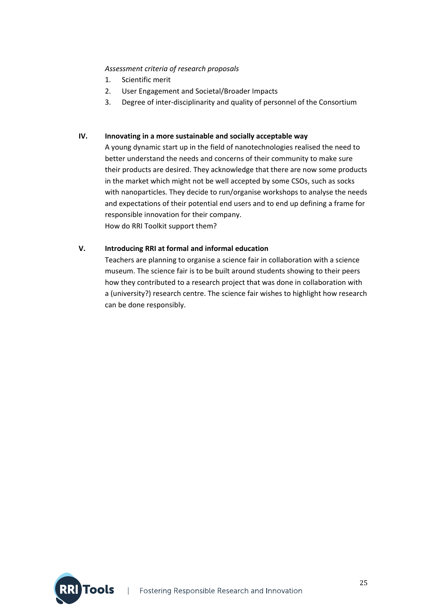#### *Assessment criteria of research proposals*

- 1. Scientific merit
- 2. User Engagement and Societal/Broader Impacts
- 3. Degree of inter-disciplinarity and quality of personnel of the Consortium

#### **IV. Innovating in a more sustainable and socially acceptable way**

A young dynamic start up in the field of nanotechnologies realised the need to better understand the needs and concerns of their community to make sure their products are desired. They acknowledge that there are now some products in the market which might not be well accepted by some CSOs, such as socks with nanoparticles. They decide to run/organise workshops to analyse the needs and expectations of their potential end users and to end up defining a frame for responsible innovation for their company. How do RRI Toolkit support them?

#### **V. Introducing RRI at formal and informal education**

Teachers are planning to organise a science fair in collaboration with a science museum. The science fair is to be built around students showing to their peers how they contributed to a research project that was done in collaboration with a (university?) research centre. The science fair wishes to highlight how research can be done responsibly.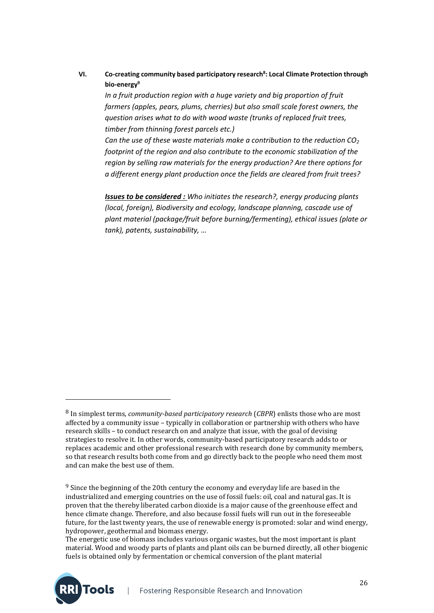**VI. Co‐creating community based participatory research8 : Local Climate Protection through bio‐energy9**

*In a fruit production region with a huge variety and big proportion of fruit farmers (apples, pears, plums, cherries) but also small scale forest owners, the question arises what to do with wood waste (trunks of replaced fruit trees, timber from thinning forest parcels etc.)* 

*Can the use of these waste materials make a contribution to the reduction CO2 footprint of the region and also contribute to the economic stabilization of the region by selling raw materials for the energy production? Are there options for a different energy plant production once the fields are cleared from fruit trees?*

*Issues to be considered : Who initiates the research?, energy producing plants (local, foreign), Biodiversity and ecology, landscape planning, cascade use of plant material (package/fruit before burning/fermenting), ethical issues (plate or tank), patents, sustainability, …* 

 

**RIITools** 

<sup>8</sup> In simplest terms, *community-based participatory research* (*CBPR*) enlists those who are most affected by a community issue - typically in collaboration or partnership with others who have research skills – to conduct research on and analyze that issue, with the goal of devising strategies to resolve it. In other words, community-based participatory research adds to or replaces academic and other professional research with research done by community members, so that research results both come from and go directly back to the people who need them most and can make the best use of them.

 $9$  Since the beginning of the 20th century the economy and everyday life are based in the industrialized and emerging countries on the use of fossil fuels: oil, coal and natural gas. It is proven that the thereby liberated carbon dioxide is a major cause of the greenhouse effect and hence climate change. Therefore, and also because fossil fuels will run out in the foreseeable future, for the last twenty years, the use of renewable energy is promoted; solar and wind energy, hydropower, geothermal and biomass energy.

The energetic use of biomass includes various organic wastes, but the most important is plant material. Wood and woody parts of plants and plant oils can be burned directly, all other biogenic fuels is obtained only by fermentation or chemical conversion of the plant material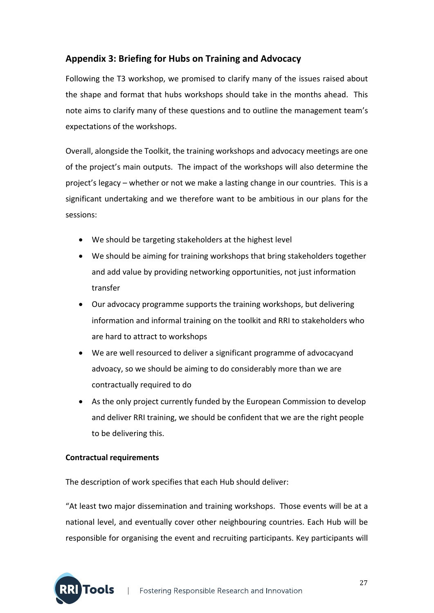## **Appendix 3: Briefing for Hubs on Training and Advocacy**

Following the T3 workshop, we promised to clarify many of the issues raised about the shape and format that hubs workshops should take in the months ahead. This note aims to clarify many of these questions and to outline the management team's expectations of the workshops.

Overall, alongside the Toolkit, the training workshops and advocacy meetings are one of the project's main outputs. The impact of the workshops will also determine the project's legacy – whether or not we make a lasting change in our countries. This is a significant undertaking and we therefore want to be ambitious in our plans for the sessions:

- We should be targeting stakeholders at the highest level
- We should be aiming for training workshops that bring stakeholders together and add value by providing networking opportunities, not just information transfer
- Our advocacy programme supports the training workshops, but delivering information and informal training on the toolkit and RRI to stakeholders who are hard to attract to workshops
- We are well resourced to deliver a significant programme of advocacyand advoacy, so we should be aiming to do considerably more than we are contractually required to do
- As the only project currently funded by the European Commission to develop and deliver RRI training, we should be confident that we are the right people to be delivering this.

#### **Contractual requirements**

The description of work specifies that each Hub should deliver:

"At least two major dissemination and training workshops. Those events will be at a national level, and eventually cover other neighbouring countries. Each Hub will be responsible for organising the event and recruiting participants. Key participants will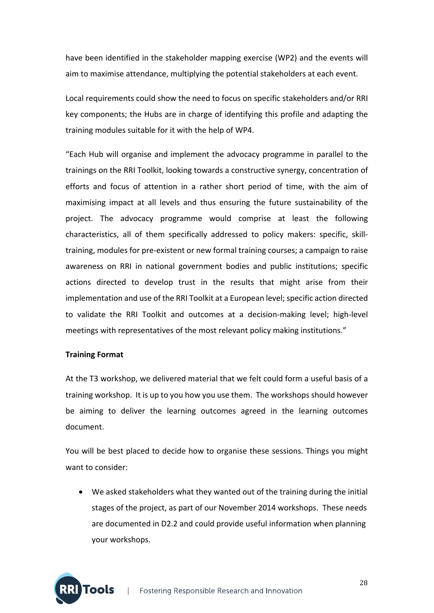have been identified in the stakeholder mapping exercise (WP2) and the events will aim to maximise attendance, multiplying the potential stakeholders at each event.

Local requirements could show the need to focus on specific stakeholders and/or RRI key components; the Hubs are in charge of identifying this profile and adapting the training modules suitable for it with the help of WP4.

"Each Hub will organise and implement the advocacy programme in parallel to the trainings on the RRI Toolkit, looking towards a constructive synergy, concentration of efforts and focus of attention in a rather short period of time, with the aim of maximising impact at all levels and thus ensuring the future sustainability of the project. The advocacy programme would comprise at least the following characteristics, all of them specifically addressed to policy makers: specific, skill‐ training, modules for pre‐existent or new formal training courses; a campaign to raise awareness on RRI in national government bodies and public institutions; specific actions directed to develop trust in the results that might arise from their implementation and use of the RRI Toolkit at a European level; specific action directed to validate the RRI Toolkit and outcomes at a decision‐making level; high‐level meetings with representatives of the most relevant policy making institutions."

#### **Training Format**

At the T3 workshop, we delivered material that we felt could form a useful basis of a training workshop. It is up to you how you use them. The workshops should however be aiming to deliver the learning outcomes agreed in the learning outcomes document.

You will be best placed to decide how to organise these sessions. Things you might want to consider:

 We asked stakeholders what they wanted out of the training during the initial stages of the project, as part of our November 2014 workshops. These needs are documented in D2.2 and could provide useful information when planning your workshops.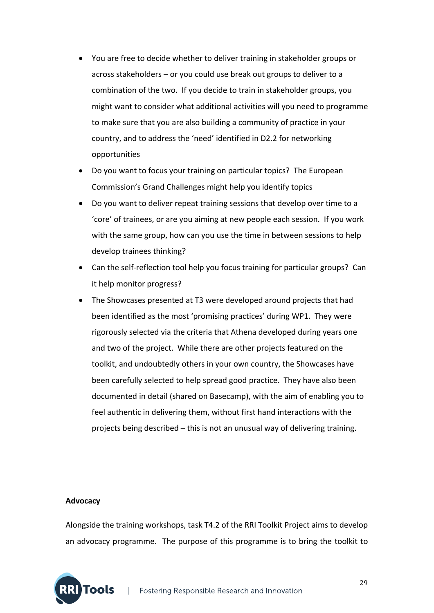- You are free to decide whether to deliver training in stakeholder groups or across stakeholders – or you could use break out groups to deliver to a combination of the two. If you decide to train in stakeholder groups, you might want to consider what additional activities will you need to programme to make sure that you are also building a community of practice in your country, and to address the 'need' identified in D2.2 for networking opportunities
- Do you want to focus your training on particular topics? The European Commission's Grand Challenges might help you identify topics
- Do you want to deliver repeat training sessions that develop over time to a 'core' of trainees, or are you aiming at new people each session. If you work with the same group, how can you use the time in between sessions to help develop trainees thinking?
- Can the self-reflection tool help you focus training for particular groups? Can it help monitor progress?
- The Showcases presented at T3 were developed around projects that had been identified as the most 'promising practices' during WP1. They were rigorously selected via the criteria that Athena developed during years one and two of the project. While there are other projects featured on the toolkit, and undoubtedly others in your own country, the Showcases have been carefully selected to help spread good practice. They have also been documented in detail (shared on Basecamp), with the aim of enabling you to feel authentic in delivering them, without first hand interactions with the projects being described – this is not an unusual way of delivering training.

#### **Advocacy**

**JTools** 

Alongside the training workshops, task T4.2 of the RRI Toolkit Project aims to develop an advocacy programme. The purpose of this programme is to bring the toolkit to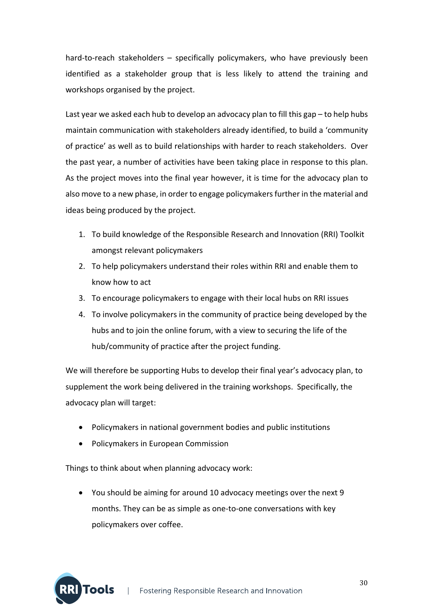hard-to-reach stakeholders – specifically policymakers, who have previously been identified as a stakeholder group that is less likely to attend the training and workshops organised by the project.

Last year we asked each hub to develop an advocacy plan to fill this gap – to help hubs maintain communication with stakeholders already identified, to build a 'community of practice' as well as to build relationships with harder to reach stakeholders. Over the past year, a number of activities have been taking place in response to this plan. As the project moves into the final year however, it is time for the advocacy plan to also move to a new phase, in order to engage policymakers further in the material and ideas being produced by the project.

- 1. To build knowledge of the Responsible Research and Innovation (RRI) Toolkit amongst relevant policymakers
- 2. To help policymakers understand their roles within RRI and enable them to know how to act
- 3. To encourage policymakers to engage with their local hubs on RRI issues
- 4. To involve policymakers in the community of practice being developed by the hubs and to join the online forum, with a view to securing the life of the hub/community of practice after the project funding.

We will therefore be supporting Hubs to develop their final year's advocacy plan, to supplement the work being delivered in the training workshops. Specifically, the advocacy plan will target:

- Policymakers in national government bodies and public institutions
- Policymakers in European Commission

Things to think about when planning advocacy work:

 You should be aiming for around 10 advocacy meetings over the next 9 months. They can be as simple as one‐to‐one conversations with key policymakers over coffee.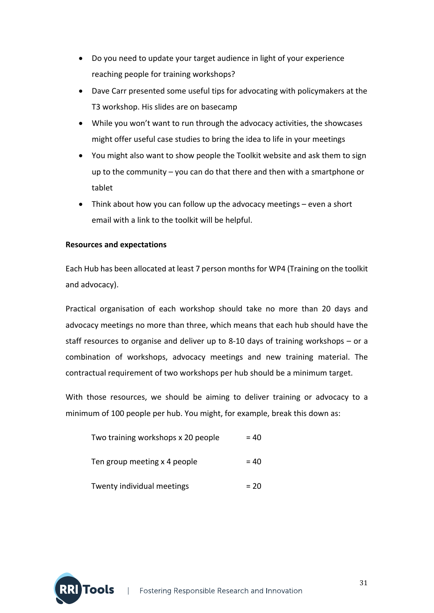- Do you need to update your target audience in light of your experience reaching people for training workshops?
- Dave Carr presented some useful tips for advocating with policymakers at the T3 workshop. His slides are on basecamp
- While you won't want to run through the advocacy activities, the showcases might offer useful case studies to bring the idea to life in your meetings
- You might also want to show people the Toolkit website and ask them to sign up to the community – you can do that there and then with a smartphone or tablet
- Think about how you can follow up the advocacy meetings even a short email with a link to the toolkit will be helpful.

#### **Resources and expectations**

Each Hub has been allocated at least 7 person monthsfor WP4 (Training on the toolkit and advocacy).

Practical organisation of each workshop should take no more than 20 days and advocacy meetings no more than three, which means that each hub should have the staff resources to organise and deliver up to 8-10 days of training workshops – or a combination of workshops, advocacy meetings and new training material. The contractual requirement of two workshops per hub should be a minimum target.

With those resources, we should be aiming to deliver training or advocacy to a minimum of 100 people per hub. You might, for example, break this down as:

| Two training workshops x 20 people | $= 40$ |
|------------------------------------|--------|
| Ten group meeting x 4 people       | $= 40$ |
| Twenty individual meetings         | $= 20$ |

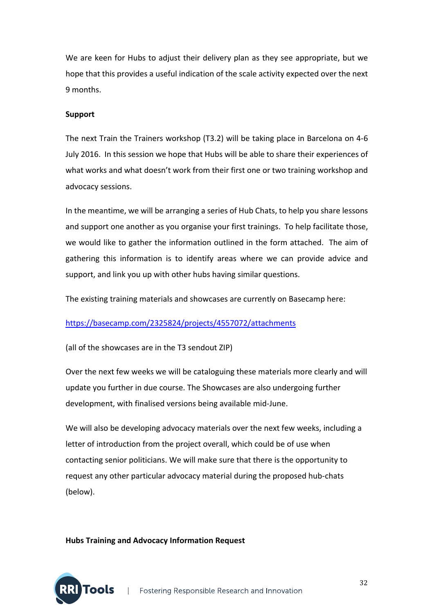We are keen for Hubs to adjust their delivery plan as they see appropriate, but we hope that this provides a useful indication of the scale activity expected over the next 9 months.

#### **Support**

The next Train the Trainers workshop (T3.2) will be taking place in Barcelona on 4‐6 July 2016. In this session we hope that Hubs will be able to share their experiences of what works and what doesn't work from their first one or two training workshop and advocacy sessions.

In the meantime, we will be arranging a series of Hub Chats, to help you share lessons and support one another as you organise your first trainings. To help facilitate those, we would like to gather the information outlined in the form attached. The aim of gathering this information is to identify areas where we can provide advice and support, and link you up with other hubs having similar questions.

The existing training materials and showcases are currently on Basecamp here:

#### https://basecamp.com/2325824/projects/4557072/attachments

(all of the showcases are in the T3 sendout ZIP)

Over the next few weeks we will be cataloguing these materials more clearly and will update you further in due course. The Showcases are also undergoing further development, with finalised versions being available mid‐June.

We will also be developing advocacy materials over the next few weeks, including a letter of introduction from the project overall, which could be of use when contacting senior politicians. We will make sure that there is the opportunity to request any other particular advocacy material during the proposed hub‐chats (below).

#### **Hubs Training and Advocacy Information Request**

**RI Tools**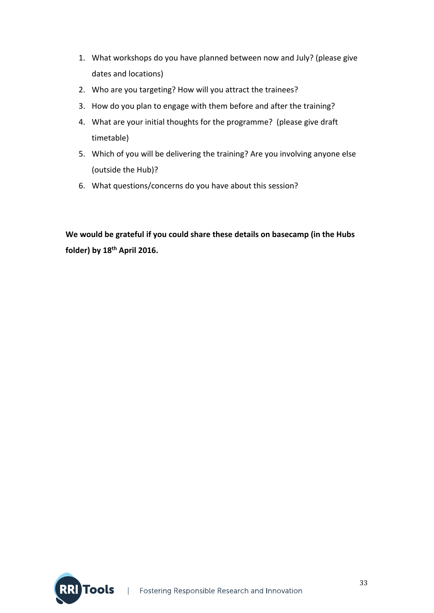- 1. What workshops do you have planned between now and July? (please give dates and locations)
- 2. Who are you targeting? How will you attract the trainees?
- 3. How do you plan to engage with them before and after the training?
- 4. What are your initial thoughts for the programme? (please give draft timetable)
- 5. Which of you will be delivering the training? Are you involving anyone else (outside the Hub)?
- 6. What questions/concerns do you have about this session?

**We would be grateful if you could share these details on basecamp (in the Hubs folder) by 18th April 2016.**

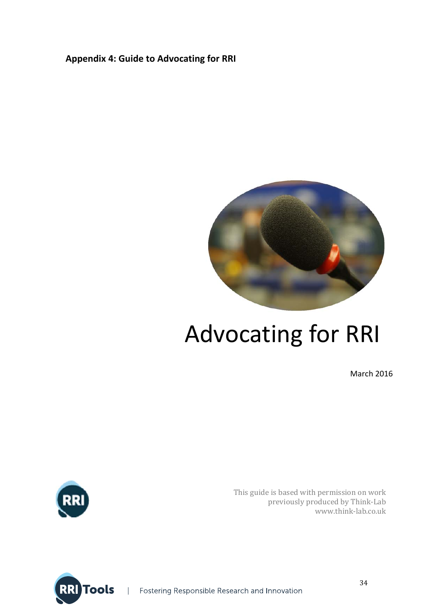## **Appendix 4: Guide to Advocating for RRI**



# Advocating for RRI

March 2016



This guide is based with permission on work previously produced by Think-Lab www.think‐lab.co.uk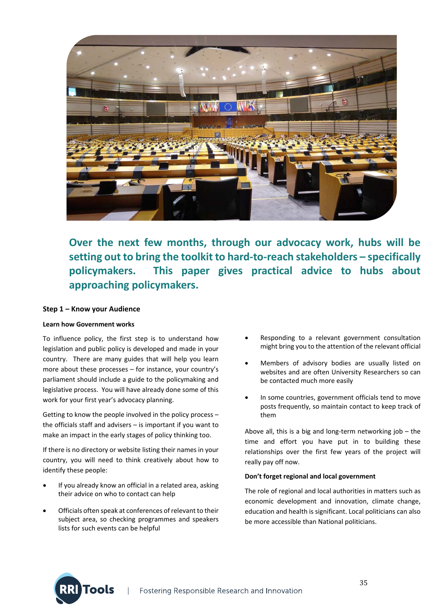

**Over the next few months, through our advocacy work, hubs will be setting out to bring the toolkit to hard‐to‐reach stakeholders – specifically policymakers. This paper gives practical advice to hubs about approaching policymakers.** 

#### **Step 1 – Know your Audience**

#### **Learn how Government works**

To influence policy, the first step is to understand how legislation and public policy is developed and made in your country. There are many guides that will help you learn more about these processes – for instance, your country's parliament should include a guide to the policymaking and legislative process. You will have already done some of this work for your first year's advocacy planning.

Getting to know the people involved in the policy process – the officials staff and advisers – is important if you want to make an impact in the early stages of policy thinking too.

If there is no directory or website listing their names in your country, you will need to think creatively about how to identify these people:

- If you already know an official in a related area, asking their advice on who to contact can help
- Officials often speak at conferences of relevant to their subject area, so checking programmes and speakers lists for such events can be helpful

Tools

- Responding to a relevant government consultation might bring you to the attention of the relevant official
- Members of advisory bodies are usually listed on websites and are often University Researchers so can be contacted much more easily
- In some countries, government officials tend to move posts frequently, so maintain contact to keep track of them

Above all, this is a big and long‐term networking job – the time and effort you have put in to building these relationships over the first few years of the project will really pay off now.

#### **Don't forget regional and local government**

The role of regional and local authorities in matters such as economic development and innovation, climate change, education and health is significant. Local politicians can also be more accessible than National politicians.

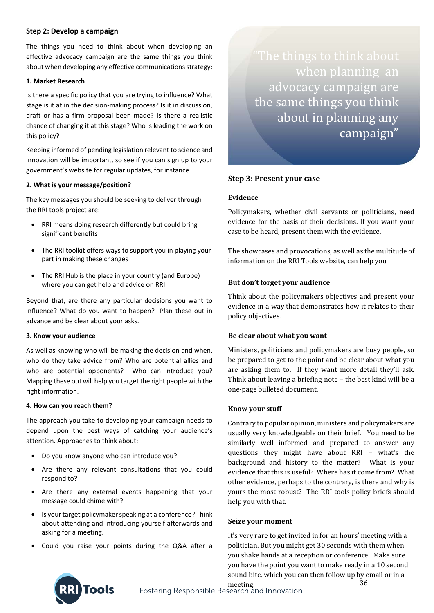#### **Step 2: Develop a campaign**

The things you need to think about when developing an effective advocacy campaign are the same things you think about when developing any effective communications strategy:

#### **1. Market Research**

Is there a specific policy that you are trying to influence? What stage is it at in the decision‐making process? Is it in discussion, draft or has a firm proposal been made? Is there a realistic chance of changing it at this stage? Who is leading the work on this policy?

Keeping informed of pending legislation relevant to science and innovation will be important, so see if you can sign up to your government's website for regular updates, for instance.

#### **2. What is your message/position?**

The key messages you should be seeking to deliver through the RRI tools project are:

- RRI means doing research differently but could bring significant benefits
- The RRI toolkit offers ways to support you in playing your part in making these changes
- The RRI Hub is the place in your country (and Europe) where you can get help and advice on RRI

Beyond that, are there any particular decisions you want to influence? What do you want to happen? Plan these out in advance and be clear about your asks.

#### **3. Know your audience**

As well as knowing who will be making the decision and when, who do they take advice from? Who are potential allies and who are potential opponents? Who can introduce you? Mapping these out will help you target the right people with the right information.

#### **4. How can you reach them?**

The approach you take to developing your campaign needs to depend upon the best ways of catching your audience's attention. Approaches to think about:

- Do you know anyone who can introduce you?
- Are there any relevant consultations that you could respond to?
- Are there any external events happening that your message could chime with?
- Is your target policymaker speaking at a conference? Think about attending and introducing yourself afterwards and asking for a meeting.
- Could you raise your points during the Q&A after a

 when planning an advocacy campaign are the same things you think about in planning any campaign"

#### **Step 3: Present your case**

#### **Evidence**

Policymakers, whether civil servants or politicians, need evidence for the basis of their decisions. If you want your case to be heard, present them with the evidence.

The showcases and provocations, as well as the multitude of information on the RRI Tools website, can help you

#### **But don't forget your audience**

Think about the policymakers objectives and present your evidence in a way that demonstrates how it relates to their policy objectives. 

#### **Be clear about what you want**

Ministers, politicians and policymakers are busy people, so be prepared to get to the point and be clear about what you are asking them to. If they want more detail they'll ask. Think about leaving a briefing note  $-$  the best kind will be a one-page bulleted document.

#### **Know your stuff**

Contrary to popular opinion, ministers and policymakers are usually very knowledgeable on their brief. You need to be similarly well informed and prepared to answer any questions they might have about RRI - what's the background and history to the matter? What is your evidence that this is useful? Where has it come from? What other evidence, perhaps to the contrary, is there and why is yours the most robust? The RRI tools policy briefs should help you with that.

#### **Seize your moment**

It's very rare to get invited in for an hours' meeting with a politician. But you might get 30 seconds with them when you shake hands at a reception or conference. Make sure you have the point you want to make ready in a 10 second sound bite, which you can then follow up by email or in a